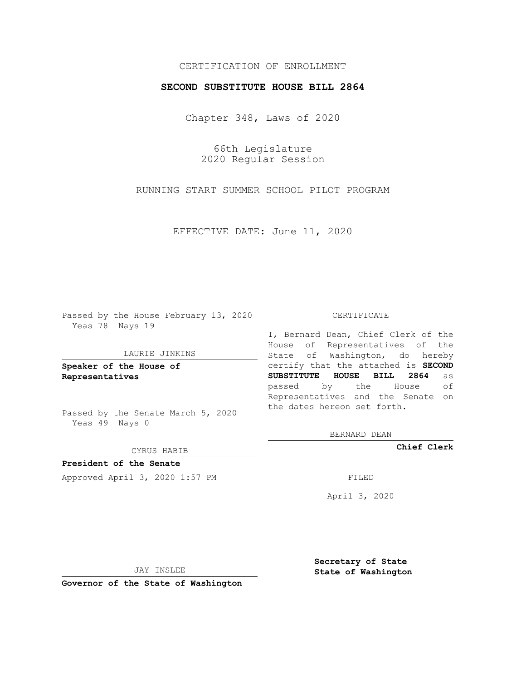# CERTIFICATION OF ENROLLMENT

### **SECOND SUBSTITUTE HOUSE BILL 2864**

Chapter 348, Laws of 2020

66th Legislature 2020 Regular Session

RUNNING START SUMMER SCHOOL PILOT PROGRAM

EFFECTIVE DATE: June 11, 2020

Passed by the House February 13, 2020 Yeas 78 Nays 19

### LAURIE JINKINS

**Speaker of the House of Representatives**

Passed by the Senate March 5, 2020 Yeas 49 Nays 0

#### CYRUS HABIB

**President of the Senate** Approved April 3, 2020 1:57 PM

#### CERTIFICATE

I, Bernard Dean, Chief Clerk of the House of Representatives of the State of Washington, do hereby certify that the attached is **SECOND SUBSTITUTE HOUSE BILL 2864** as passed by the House of Representatives and the Senate on the dates hereon set forth.

BERNARD DEAN

**Chief Clerk**

April 3, 2020

JAY INSLEE

**Governor of the State of Washington**

**Secretary of State State of Washington**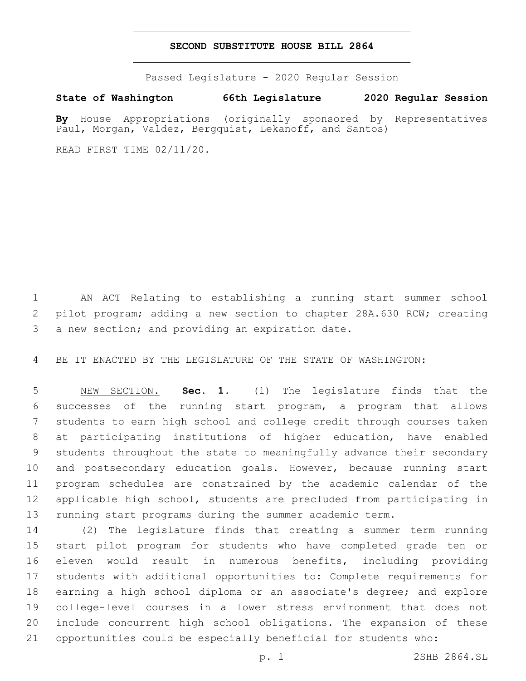## **SECOND SUBSTITUTE HOUSE BILL 2864**

Passed Legislature - 2020 Regular Session

**State of Washington 66th Legislature 2020 Regular Session**

**By** House Appropriations (originally sponsored by Representatives Paul, Morgan, Valdez, Bergquist, Lekanoff, and Santos)

READ FIRST TIME 02/11/20.

 AN ACT Relating to establishing a running start summer school pilot program; adding a new section to chapter 28A.630 RCW; creating 3 a new section; and providing an expiration date.

BE IT ENACTED BY THE LEGISLATURE OF THE STATE OF WASHINGTON:

 NEW SECTION. **Sec. 1.** (1) The legislature finds that the successes of the running start program, a program that allows students to earn high school and college credit through courses taken at participating institutions of higher education, have enabled students throughout the state to meaningfully advance their secondary and postsecondary education goals. However, because running start program schedules are constrained by the academic calendar of the applicable high school, students are precluded from participating in running start programs during the summer academic term.

 (2) The legislature finds that creating a summer term running start pilot program for students who have completed grade ten or eleven would result in numerous benefits, including providing students with additional opportunities to: Complete requirements for earning a high school diploma or an associate's degree; and explore college-level courses in a lower stress environment that does not include concurrent high school obligations. The expansion of these opportunities could be especially beneficial for students who:

p. 1 2SHB 2864.SL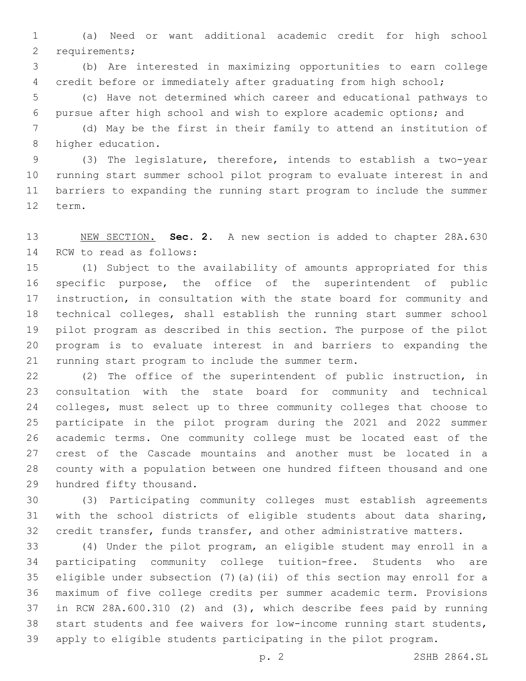(a) Need or want additional academic credit for high school 2 requirements;

 (b) Are interested in maximizing opportunities to earn college credit before or immediately after graduating from high school;

 (c) Have not determined which career and educational pathways to pursue after high school and wish to explore academic options; and

 (d) May be the first in their family to attend an institution of 8 higher education.

 (3) The legislature, therefore, intends to establish a two-year running start summer school pilot program to evaluate interest in and barriers to expanding the running start program to include the summer 12 term.

 NEW SECTION. **Sec. 2.** A new section is added to chapter 28A.630 14 RCW to read as follows:

 (1) Subject to the availability of amounts appropriated for this specific purpose, the office of the superintendent of public instruction, in consultation with the state board for community and technical colleges, shall establish the running start summer school pilot program as described in this section. The purpose of the pilot program is to evaluate interest in and barriers to expanding the 21 running start program to include the summer term.

 (2) The office of the superintendent of public instruction, in consultation with the state board for community and technical colleges, must select up to three community colleges that choose to participate in the pilot program during the 2021 and 2022 summer academic terms. One community college must be located east of the crest of the Cascade mountains and another must be located in a county with a population between one hundred fifteen thousand and one 29 hundred fifty thousand.

 (3) Participating community colleges must establish agreements with the school districts of eligible students about data sharing, credit transfer, funds transfer, and other administrative matters.

 (4) Under the pilot program, an eligible student may enroll in a participating community college tuition-free. Students who are eligible under subsection (7)(a)(ii) of this section may enroll for a maximum of five college credits per summer academic term. Provisions in RCW 28A.600.310 (2) and (3), which describe fees paid by running start students and fee waivers for low-income running start students, apply to eligible students participating in the pilot program.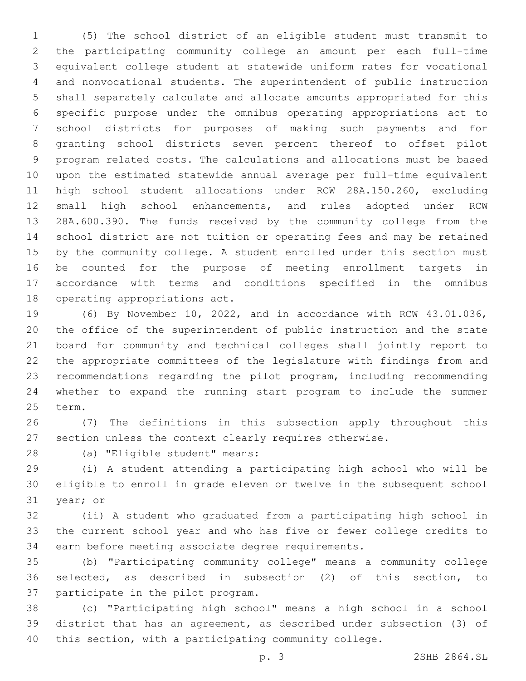(5) The school district of an eligible student must transmit to the participating community college an amount per each full-time equivalent college student at statewide uniform rates for vocational and nonvocational students. The superintendent of public instruction shall separately calculate and allocate amounts appropriated for this specific purpose under the omnibus operating appropriations act to school districts for purposes of making such payments and for granting school districts seven percent thereof to offset pilot program related costs. The calculations and allocations must be based upon the estimated statewide annual average per full-time equivalent high school student allocations under RCW 28A.150.260, excluding small high school enhancements, and rules adopted under RCW 28A.600.390. The funds received by the community college from the school district are not tuition or operating fees and may be retained by the community college. A student enrolled under this section must be counted for the purpose of meeting enrollment targets in accordance with terms and conditions specified in the omnibus 18 operating appropriations act.

 (6) By November 10, 2022, and in accordance with RCW 43.01.036, the office of the superintendent of public instruction and the state board for community and technical colleges shall jointly report to the appropriate committees of the legislature with findings from and recommendations regarding the pilot program, including recommending whether to expand the running start program to include the summer 25 term.

 (7) The definitions in this subsection apply throughout this section unless the context clearly requires otherwise.

28 (a) "Eligible student" means:

 (i) A student attending a participating high school who will be eligible to enroll in grade eleven or twelve in the subsequent school 31 year; or

 (ii) A student who graduated from a participating high school in the current school year and who has five or fewer college credits to earn before meeting associate degree requirements.

 (b) "Participating community college" means a community college selected, as described in subsection (2) of this section, to 37 participate in the pilot program.

 (c) "Participating high school" means a high school in a school district that has an agreement, as described under subsection (3) of this section, with a participating community college.

p. 3 2SHB 2864.SL